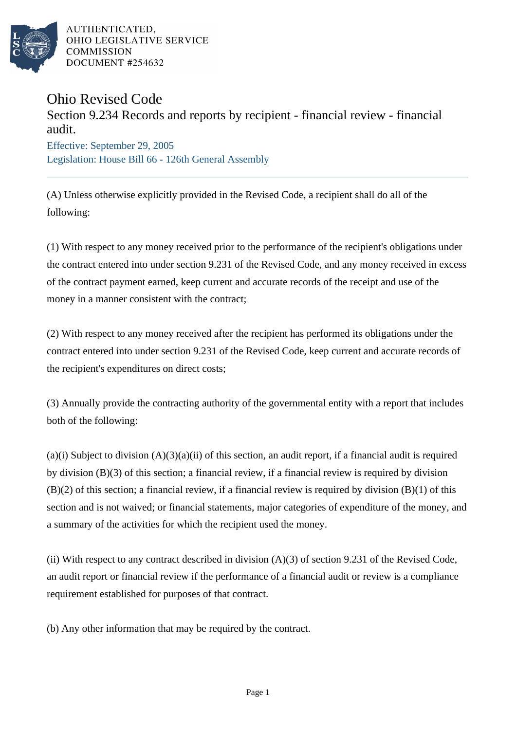

AUTHENTICATED. OHIO LEGISLATIVE SERVICE **COMMISSION** DOCUMENT #254632

## Ohio Revised Code

## Section 9.234 Records and reports by recipient - financial review - financial audit.

Effective: September 29, 2005 Legislation: House Bill 66 - 126th General Assembly

(A) Unless otherwise explicitly provided in the Revised Code, a recipient shall do all of the following:

(1) With respect to any money received prior to the performance of the recipient's obligations under the contract entered into under section 9.231 of the Revised Code, and any money received in excess of the contract payment earned, keep current and accurate records of the receipt and use of the money in a manner consistent with the contract;

(2) With respect to any money received after the recipient has performed its obligations under the contract entered into under section 9.231 of the Revised Code, keep current and accurate records of the recipient's expenditures on direct costs;

(3) Annually provide the contracting authority of the governmental entity with a report that includes both of the following:

 $(a)(i)$  Subject to division  $(A)(3)(a)(ii)$  of this section, an audit report, if a financial audit is required by division (B)(3) of this section; a financial review, if a financial review is required by division  $(B)(2)$  of this section; a financial review, if a financial review is required by division  $(B)(1)$  of this section and is not waived; or financial statements, major categories of expenditure of the money, and a summary of the activities for which the recipient used the money.

(ii) With respect to any contract described in division  $(A)(3)$  of section 9.231 of the Revised Code, an audit report or financial review if the performance of a financial audit or review is a compliance requirement established for purposes of that contract.

(b) Any other information that may be required by the contract.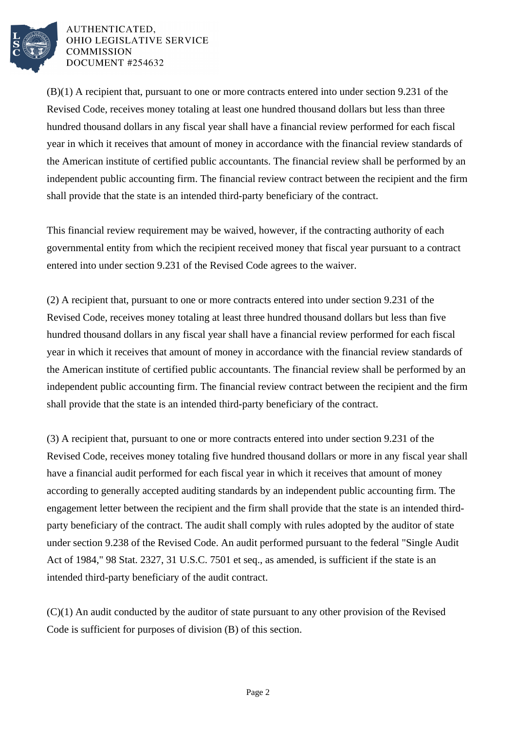

AUTHENTICATED. OHIO LEGISLATIVE SERVICE **COMMISSION** DOCUMENT #254632

(B)(1) A recipient that, pursuant to one or more contracts entered into under section 9.231 of the Revised Code, receives money totaling at least one hundred thousand dollars but less than three hundred thousand dollars in any fiscal year shall have a financial review performed for each fiscal year in which it receives that amount of money in accordance with the financial review standards of the American institute of certified public accountants. The financial review shall be performed by an independent public accounting firm. The financial review contract between the recipient and the firm shall provide that the state is an intended third-party beneficiary of the contract.

This financial review requirement may be waived, however, if the contracting authority of each governmental entity from which the recipient received money that fiscal year pursuant to a contract entered into under section 9.231 of the Revised Code agrees to the waiver.

(2) A recipient that, pursuant to one or more contracts entered into under section 9.231 of the Revised Code, receives money totaling at least three hundred thousand dollars but less than five hundred thousand dollars in any fiscal year shall have a financial review performed for each fiscal year in which it receives that amount of money in accordance with the financial review standards of the American institute of certified public accountants. The financial review shall be performed by an independent public accounting firm. The financial review contract between the recipient and the firm shall provide that the state is an intended third-party beneficiary of the contract.

(3) A recipient that, pursuant to one or more contracts entered into under section 9.231 of the Revised Code, receives money totaling five hundred thousand dollars or more in any fiscal year shall have a financial audit performed for each fiscal year in which it receives that amount of money according to generally accepted auditing standards by an independent public accounting firm. The engagement letter between the recipient and the firm shall provide that the state is an intended thirdparty beneficiary of the contract. The audit shall comply with rules adopted by the auditor of state under section 9.238 of the Revised Code. An audit performed pursuant to the federal "Single Audit Act of 1984," 98 Stat. 2327, 31 U.S.C. 7501 et seq., as amended, is sufficient if the state is an intended third-party beneficiary of the audit contract.

(C)(1) An audit conducted by the auditor of state pursuant to any other provision of the Revised Code is sufficient for purposes of division (B) of this section.